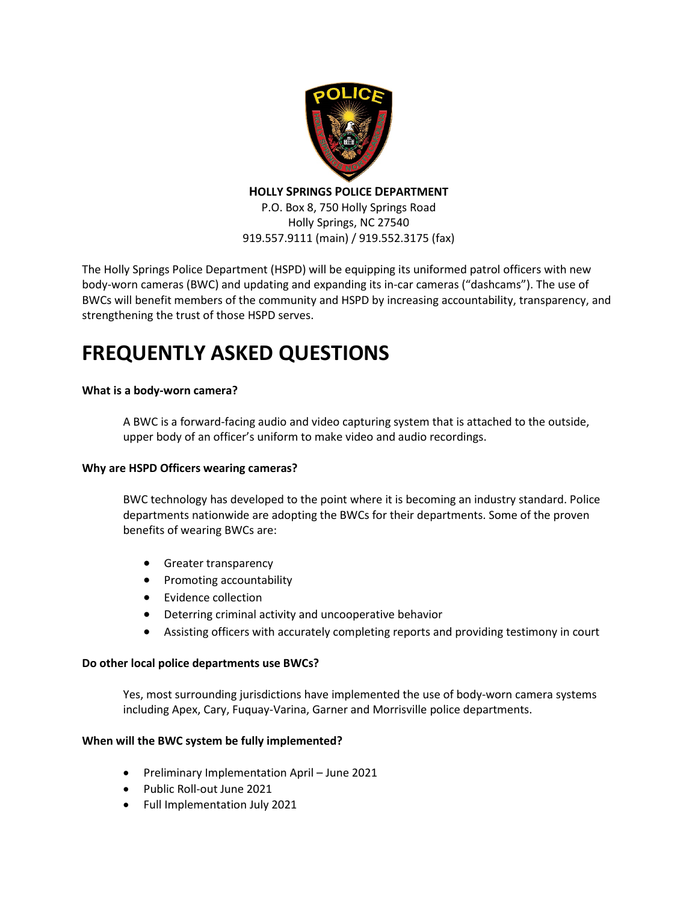

**HOLLY SPRINGS POLICE DEPARTMENT**

P.O. Box 8, 750 Holly Springs Road Holly Springs, NC 27540 919.557.9111 (main) / 919.552.3175 (fax)

The Holly Springs Police Department (HSPD) will be equipping its uniformed patrol officers with new body-worn cameras (BWC) and updating and expanding its in-car cameras ("dashcams"). The use of BWCs will benefit members of the community and HSPD by increasing accountability, transparency, and strengthening the trust of those HSPD serves.

# **FREQUENTLY ASKED QUESTIONS**

# **What is a body-worn camera?**

A BWC is a forward-facing audio and video capturing system that is attached to the outside, upper body of an officer's uniform to make video and audio recordings.

# **Why are HSPD Officers wearing cameras?**

BWC technology has developed to the point where it is becoming an industry standard. Police departments nationwide are adopting the BWCs for their departments. Some of the proven benefits of wearing BWCs are:

- Greater transparency
- Promoting accountability
- Evidence collection
- Deterring criminal activity and uncooperative behavior
- Assisting officers with accurately completing reports and providing testimony in court

# **Do other local police departments use BWCs?**

Yes, most surrounding jurisdictions have implemented the use of body-worn camera systems including Apex, Cary, Fuquay-Varina, Garner and Morrisville police departments.

# **When will the BWC system be fully implemented?**

- Preliminary Implementation April June 2021
- Public Roll-out June 2021
- Full Implementation July 2021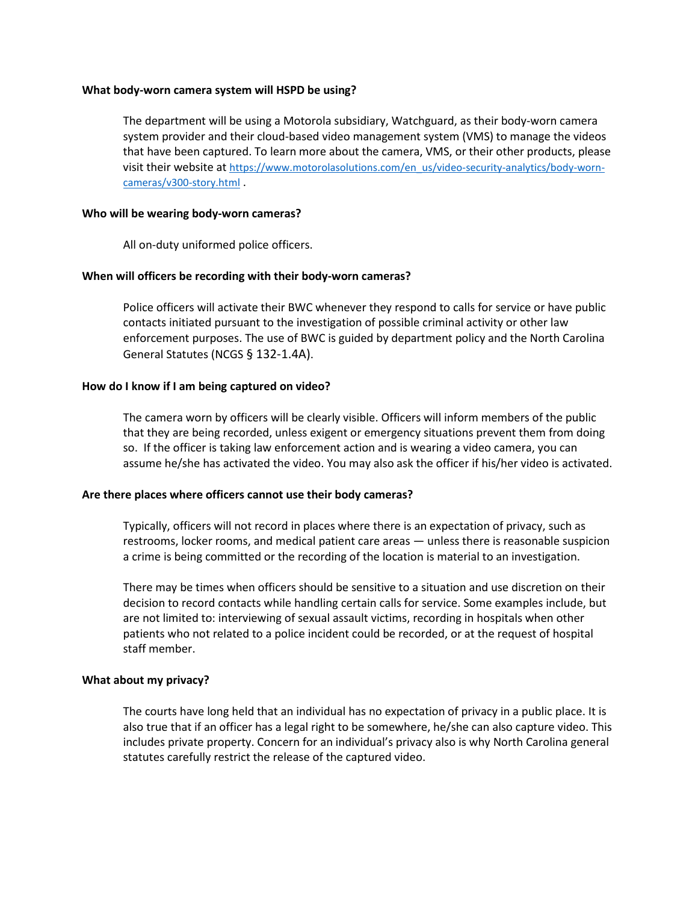#### **What body-worn camera system will HSPD be using?**

The department will be using a Motorola subsidiary, Watchguard, as their body-worn camera system provider and their cloud-based video management system (VMS) to manage the videos that have been captured. To learn more about the camera, VMS, or their other products, please visit their website at [https://www.motorolasolutions.com/en\\_us/video-security-analytics/body-worn](https://www.motorolasolutions.com/en_us/video-security-analytics/body-worn-cameras/v300-story.html)[cameras/v300-story.html](https://www.motorolasolutions.com/en_us/video-security-analytics/body-worn-cameras/v300-story.html) .

#### **Who will be wearing body-worn cameras?**

All on-duty uniformed police officers.

## **When will officers be recording with their body-worn cameras?**

Police officers will activate their BWC whenever they respond to calls for service or have public contacts initiated pursuant to the investigation of possible criminal activity or other law enforcement purposes. The use of BWC is guided by department policy and the North Carolina General Statutes (NCGS § 132-1.4A).

## **How do I know if I am being captured on video?**

The camera worn by officers will be clearly visible. Officers will inform members of the public that they are being recorded, unless exigent or emergency situations prevent them from doing so. If the officer is taking law enforcement action and is wearing a video camera, you can assume he/she has activated the video. You may also ask the officer if his/her video is activated.

## **Are there places where officers cannot use their body cameras?**

Typically, officers will not record in places where there is an expectation of privacy, such as restrooms, locker rooms, and medical patient care areas — unless there is reasonable suspicion a crime is being committed or the recording of the location is material to an investigation.

There may be times when officers should be sensitive to a situation and use discretion on their decision to record contacts while handling certain calls for service. Some examples include, but are not limited to: interviewing of sexual assault victims, recording in hospitals when other patients who not related to a police incident could be recorded, or at the request of hospital staff member.

## **What about my privacy?**

The courts have long held that an individual has no expectation of privacy in a public place. It is also true that if an officer has a legal right to be somewhere, he/she can also capture video. This includes private property. Concern for an individual's privacy also is why North Carolina general statutes carefully restrict the release of the captured video.